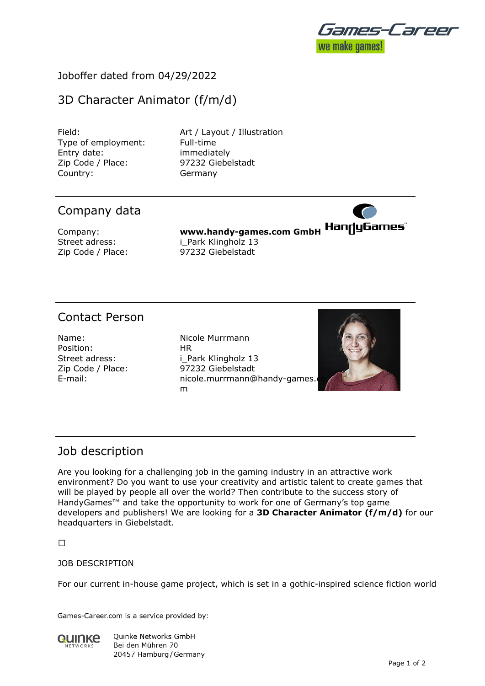

## Joboffer dated from 04/29/2022

# 3D Character Animator (f/m/d)

Type of employment: Full-time Entry date: immediately Zip Code / Place: 97232 Giebelstadt Country: Germany

Field: **Art / Layout / Illustration** 

## Company data

**Company: www.handy-games.com GmbH HanduGames** Street adress: i Park Klingholz 13 Zip Code / Place: 97232 Giebelstadt

## Contact Person

Name: Nicole Murrmann Position: HR

Street adress: i Park Klingholz 13 Zip Code / Place: 97232 Giebelstadt E-mail: nicole.murrmann@handy-games.com m



### Job description

Are you looking for a challenging job in the gaming industry in an attractive work environment? Do you want to use your creativity and artistic talent to create games that will be played by people all over the world? Then contribute to the success story of HandyGames™ and take the opportunity to work for one of Germany's top game developers and publishers! We are looking for a **3D Character Animator (f/m/d)** for our headquarters in Giebelstadt.

 $\Box$ 

### JOB DESCRIPTION

For our current in-house game project, which is set in a gothic-inspired science fiction world

Games-Career.com is a service provided by:



**Ouinke Networks GmbH** Bei den Mühren 70 20457 Hamburg / Germany